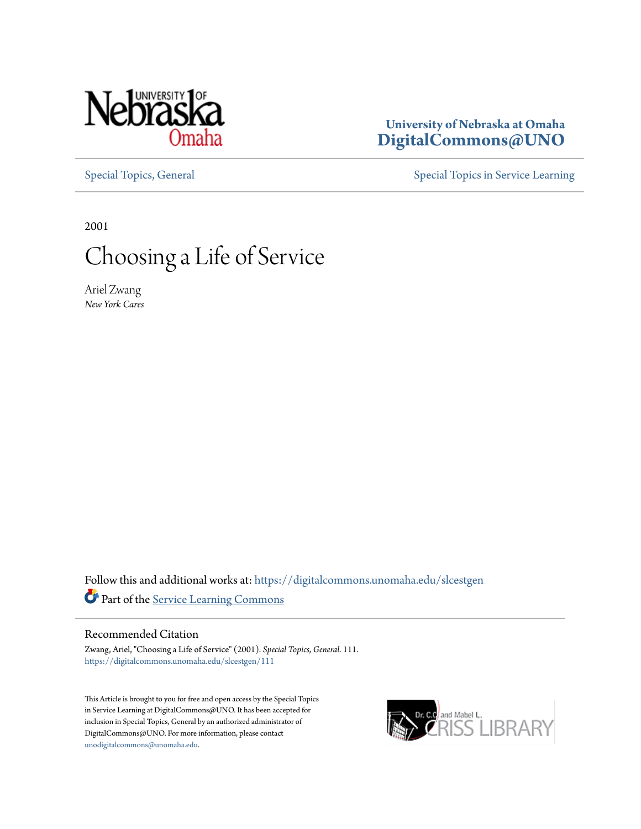

### **University of Nebraska at Omaha [DigitalCommons@UNO](https://digitalcommons.unomaha.edu?utm_source=digitalcommons.unomaha.edu%2Fslcestgen%2F111&utm_medium=PDF&utm_campaign=PDFCoverPages)**

[Special Topics, General](https://digitalcommons.unomaha.edu/slcestgen?utm_source=digitalcommons.unomaha.edu%2Fslcestgen%2F111&utm_medium=PDF&utm_campaign=PDFCoverPages) [Special Topics in Service Learning](https://digitalcommons.unomaha.edu/slcespecialtopics?utm_source=digitalcommons.unomaha.edu%2Fslcestgen%2F111&utm_medium=PDF&utm_campaign=PDFCoverPages)

2001

# Choosing a Life of Service

Ariel Zwang *New York Cares*

Follow this and additional works at: [https://digitalcommons.unomaha.edu/slcestgen](https://digitalcommons.unomaha.edu/slcestgen?utm_source=digitalcommons.unomaha.edu%2Fslcestgen%2F111&utm_medium=PDF&utm_campaign=PDFCoverPages) Part of the [Service Learning Commons](http://network.bepress.com/hgg/discipline/1024?utm_source=digitalcommons.unomaha.edu%2Fslcestgen%2F111&utm_medium=PDF&utm_campaign=PDFCoverPages)

#### Recommended Citation

Zwang, Ariel, "Choosing a Life of Service" (2001). *Special Topics, General*. 111. [https://digitalcommons.unomaha.edu/slcestgen/111](https://digitalcommons.unomaha.edu/slcestgen/111?utm_source=digitalcommons.unomaha.edu%2Fslcestgen%2F111&utm_medium=PDF&utm_campaign=PDFCoverPages)

This Article is brought to you for free and open access by the Special Topics in Service Learning at DigitalCommons@UNO. It has been accepted for inclusion in Special Topics, General by an authorized administrator of DigitalCommons@UNO. For more information, please contact [unodigitalcommons@unomaha.edu](mailto:unodigitalcommons@unomaha.edu).

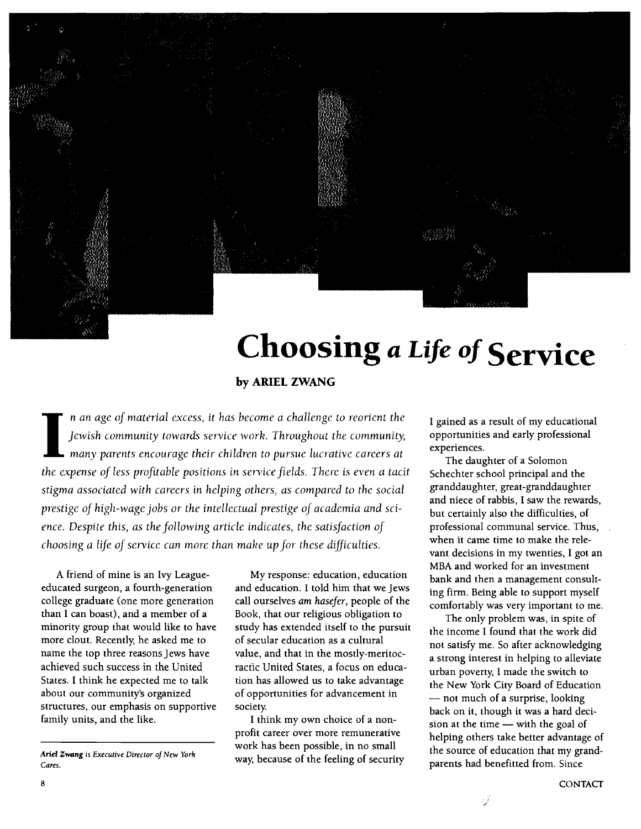

# **Choosing** *a Life of* **Service**

**by ARIEL ZWANG** 

I an age of material excess, it has become a challenge to reorient the Jewish community towards service work. Throughout the community, many parents encourage their children to pursue lucrative careers at *Jewish community towards service work. Throughout the community, many parents encoLl rage thei r children* to *pu rsue lucrative ca reas at the expense of* less *profitable positions in savite fields. There is even a tacit stigma associated with careers in helping others, as compared to the social prestige of high-wage jobs or the intellectual prestige of academia and science. Despite this, as the following article indicates, the satisfaction of choosing a life of service can more than make up for these difficulties.* 

A friend of mine is an Ivy Leagueeducated surgeon, a fourth-generation college graduate (one more generation than I can boast), and a member of a minority group that would like to have more clout. Recently, he asked me to name the top three reasons Jews have achieved such success in the United States. I think he expected me to talk about our community's organized structures, our emphasis on supportive family units, and the like.

My response: education, education and education. I told him that we Jews call ourselves *am hasefer,* people of the Book, that our religious obligation to study has extended itself to the pursuit of secular education as a cultural value, and that in the mostly-meritocractic United States, a focus on education has allowed us to take advantage of opportunities for advancement in society.

I think my own choice of a nonprofit career over more remunerative work has been possible, in no small way, because of the feeling of security I gained as a result of my educational opportunities and early professional experiences.

The daughter of a Solomon Schechter school principal and the granddaughter, great-granddaughter and niece of rabbis, I saw the rewards, but certainly also the difficulties, of professional communal service. Thus, when it came time to make the relevant decisions in my twenties, I got an MBA and worked for an investment bank and then a management consulting firm. Being able to support myself comfortably was very important to me.

The only problem was, in spite of the income I found that the work did not satisfy me. So after acknowledging a strong interest in helping to alleviate urban poverty, I made the switch to the New York City Board of Education - not much of a surprise, looking back on it, though it was a hard decision at the time - with the goal of helping others take better advantage of the source of education that my grandparents had benefitted from. Since

Ariel *Zwang* is *Executive Director oj New York Cares.*